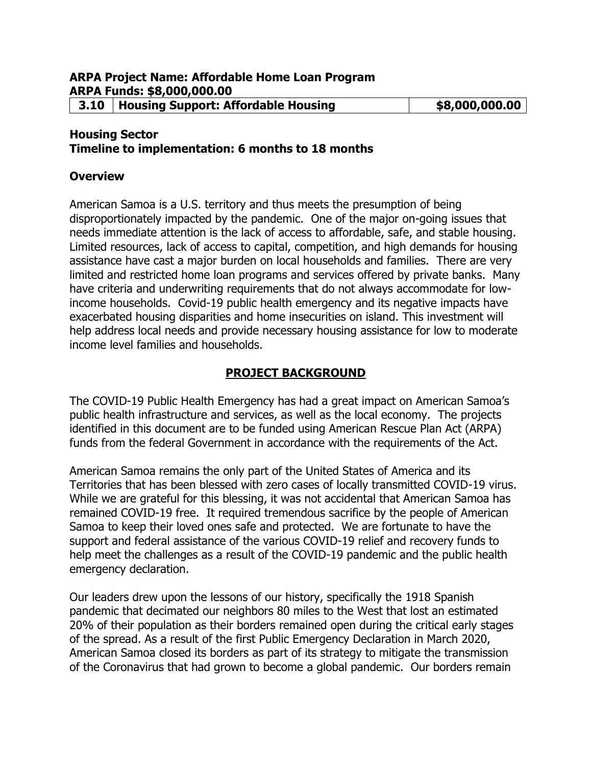## **Housing Sector**

**Timeline to implementation: 6 months to 18 months**

#### **Overview**

American Samoa is a U.S. territory and thus meets the presumption of being disproportionately impacted by the pandemic. One of the major on-going issues that needs immediate attention is the lack of access to affordable, safe, and stable housing. Limited resources, lack of access to capital, competition, and high demands for housing assistance have cast a major burden on local households and families. There are very limited and restricted home loan programs and services offered by private banks. Many have criteria and underwriting requirements that do not always accommodate for lowincome households. Covid-19 public health emergency and its negative impacts have exacerbated housing disparities and home insecurities on island. This investment will help address local needs and provide necessary housing assistance for low to moderate income level families and households.

#### **PROJECT BACKGROUND**

The COVID-19 Public Health Emergency has had a great impact on American Samoa's public health infrastructure and services, as well as the local economy. The projects identified in this document are to be funded using American Rescue Plan Act (ARPA) funds from the federal Government in accordance with the requirements of the Act.

American Samoa remains the only part of the United States of America and its Territories that has been blessed with zero cases of locally transmitted COVID-19 virus. While we are grateful for this blessing, it was not accidental that American Samoa has remained COVID-19 free. It required tremendous sacrifice by the people of American Samoa to keep their loved ones safe and protected. We are fortunate to have the support and federal assistance of the various COVID-19 relief and recovery funds to help meet the challenges as a result of the COVID-19 pandemic and the public health emergency declaration.

Our leaders drew upon the lessons of our history, specifically the 1918 Spanish pandemic that decimated our neighbors 80 miles to the West that lost an estimated 20% of their population as their borders remained open during the critical early stages of the spread. As a result of the first Public Emergency Declaration in March 2020, American Samoa closed its borders as part of its strategy to mitigate the transmission of the Coronavirus that had grown to become a global pandemic. Our borders remain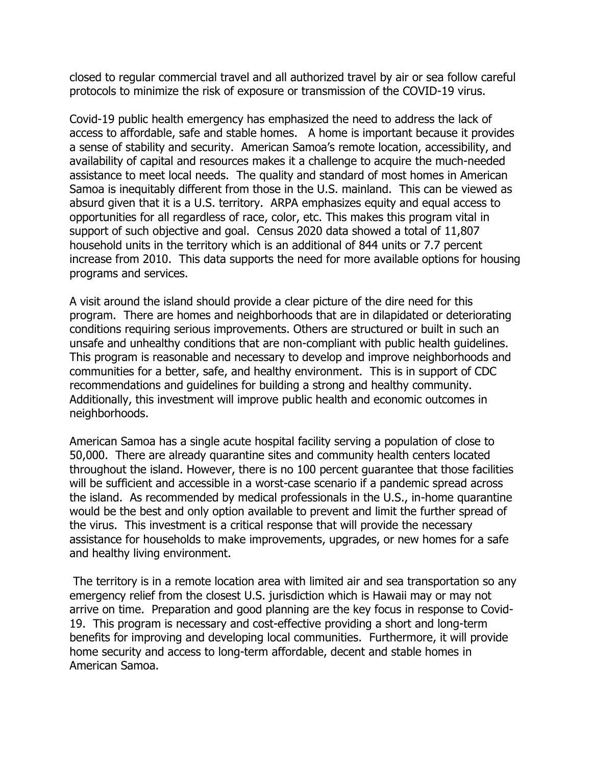closed to regular commercial travel and all authorized travel by air or sea follow careful protocols to minimize the risk of exposure or transmission of the COVID-19 virus.

Covid-19 public health emergency has emphasized the need to address the lack of access to affordable, safe and stable homes. A home is important because it provides a sense of stability and security. American Samoa's remote location, accessibility, and availability of capital and resources makes it a challenge to acquire the much-needed assistance to meet local needs. The quality and standard of most homes in American Samoa is inequitably different from those in the U.S. mainland. This can be viewed as absurd given that it is a U.S. territory. ARPA emphasizes equity and equal access to opportunities for all regardless of race, color, etc. This makes this program vital in support of such objective and goal. Census 2020 data showed a total of 11,807 household units in the territory which is an additional of 844 units or 7.7 percent increase from 2010. This data supports the need for more available options for housing programs and services.

A visit around the island should provide a clear picture of the dire need for this program. There are homes and neighborhoods that are in dilapidated or deteriorating conditions requiring serious improvements. Others are structured or built in such an unsafe and unhealthy conditions that are non-compliant with public health guidelines. This program is reasonable and necessary to develop and improve neighborhoods and communities for a better, safe, and healthy environment. This is in support of CDC recommendations and guidelines for building a strong and healthy community. Additionally, this investment will improve public health and economic outcomes in neighborhoods.

American Samoa has a single acute hospital facility serving a population of close to 50,000. There are already quarantine sites and community health centers located throughout the island. However, there is no 100 percent guarantee that those facilities will be sufficient and accessible in a worst-case scenario if a pandemic spread across the island. As recommended by medical professionals in the U.S., in-home quarantine would be the best and only option available to prevent and limit the further spread of the virus. This investment is a critical response that will provide the necessary assistance for households to make improvements, upgrades, or new homes for a safe and healthy living environment.

The territory is in a remote location area with limited air and sea transportation so any emergency relief from the closest U.S. jurisdiction which is Hawaii may or may not arrive on time. Preparation and good planning are the key focus in response to Covid-19. This program is necessary and cost-effective providing a short and long-term benefits for improving and developing local communities. Furthermore, it will provide home security and access to long-term affordable, decent and stable homes in American Samoa.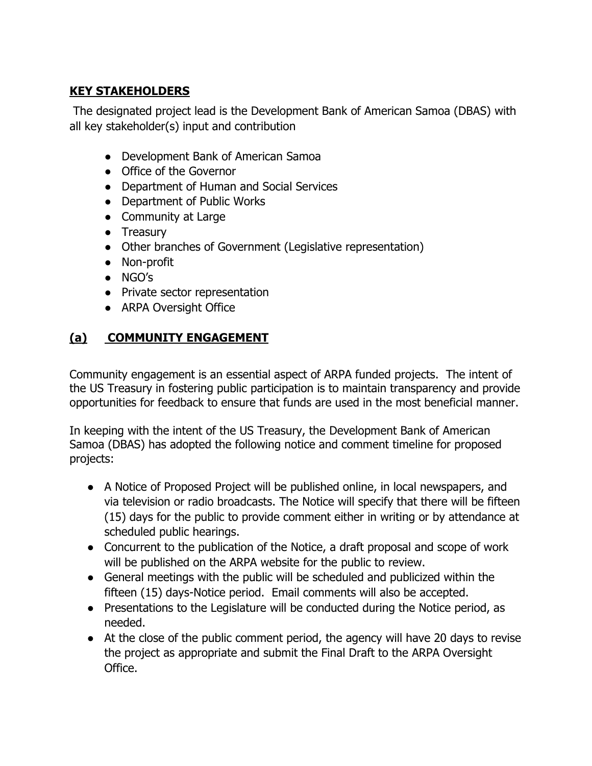# **KEY STAKEHOLDERS**

The designated project lead is the Development Bank of American Samoa (DBAS) with all key stakeholder(s) input and contribution

- Development Bank of American Samoa
- Office of the Governor
- Department of Human and Social Services
- Department of Public Works
- Community at Large
- Treasury
- Other branches of Government (Legislative representation)
- Non-profit
- NGO's
- Private sector representation
- ARPA Oversight Office

# **(a) COMMUNITY ENGAGEMENT**

Community engagement is an essential aspect of ARPA funded projects. The intent of the US Treasury in fostering public participation is to maintain transparency and provide opportunities for feedback to ensure that funds are used in the most beneficial manner.

In keeping with the intent of the US Treasury, the Development Bank of American Samoa (DBAS) has adopted the following notice and comment timeline for proposed projects:

- A Notice of Proposed Project will be published online, in local newspapers, and via television or radio broadcasts. The Notice will specify that there will be fifteen (15) days for the public to provide comment either in writing or by attendance at scheduled public hearings.
- Concurrent to the publication of the Notice, a draft proposal and scope of work will be published on the ARPA website for the public to review.
- General meetings with the public will be scheduled and publicized within the fifteen (15) days-Notice period. Email comments will also be accepted.
- Presentations to the Legislature will be conducted during the Notice period, as needed.
- At the close of the public comment period, the agency will have 20 days to revise the project as appropriate and submit the Final Draft to the ARPA Oversight Office.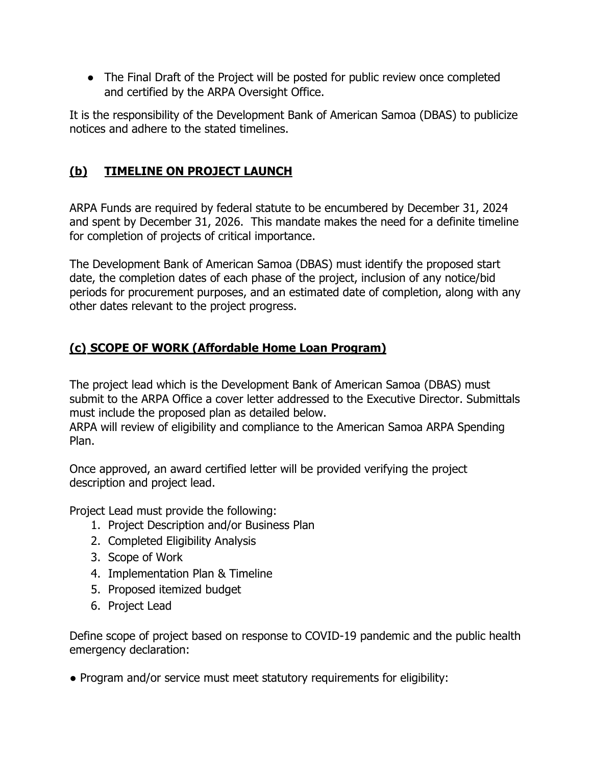• The Final Draft of the Project will be posted for public review once completed and certified by the ARPA Oversight Office.

It is the responsibility of the Development Bank of American Samoa (DBAS) to publicize notices and adhere to the stated timelines.

# **(b) TIMELINE ON PROJECT LAUNCH**

ARPA Funds are required by federal statute to be encumbered by December 31, 2024 and spent by December 31, 2026. This mandate makes the need for a definite timeline for completion of projects of critical importance.

The Development Bank of American Samoa (DBAS) must identify the proposed start date, the completion dates of each phase of the project, inclusion of any notice/bid periods for procurement purposes, and an estimated date of completion, along with any other dates relevant to the project progress.

## **(c) SCOPE OF WORK (Affordable Home Loan Program)**

The project lead which is the Development Bank of American Samoa (DBAS) must submit to the ARPA Office a cover letter addressed to the Executive Director. Submittals must include the proposed plan as detailed below.

ARPA will review of eligibility and compliance to the American Samoa ARPA Spending Plan.

Once approved, an award certified letter will be provided verifying the project description and project lead.

Project Lead must provide the following:

- 1. Project Description and/or Business Plan
- 2. Completed Eligibility Analysis
- 3. Scope of Work
- 4. Implementation Plan & Timeline
- 5. Proposed itemized budget
- 6. Project Lead

Define scope of project based on response to COVID-19 pandemic and the public health emergency declaration:

• Program and/or service must meet statutory requirements for eligibility: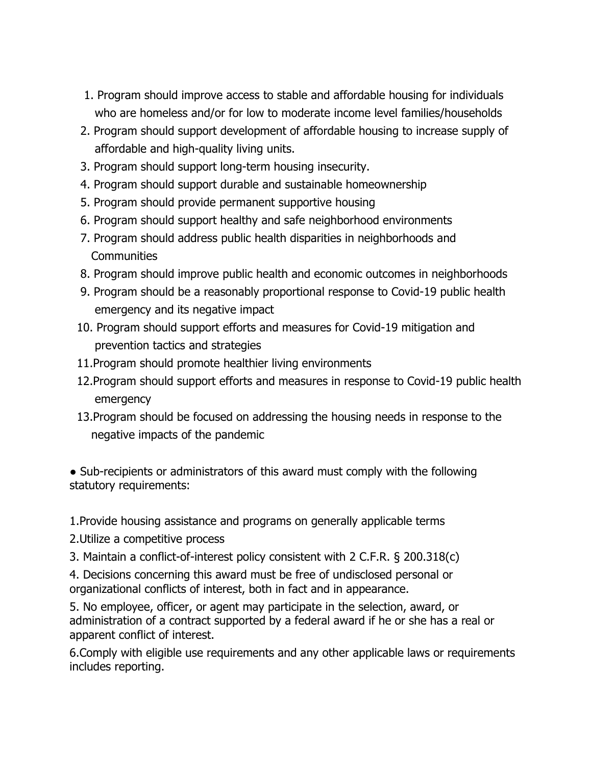- 1. Program should improve access to stable and affordable housing for individuals who are homeless and/or for low to moderate income level families/households
- 2. Program should support development of affordable housing to increase supply of affordable and high-quality living units.
- 3. Program should support long-term housing insecurity.
- 4. Program should support durable and sustainable homeownership
- 5. Program should provide permanent supportive housing
- 6. Program should support healthy and safe neighborhood environments
- 7. Program should address public health disparities in neighborhoods and **Communities**
- 8. Program should improve public health and economic outcomes in neighborhoods
- 9. Program should be a reasonably proportional response to Covid-19 public health emergency and its negative impact
- 10. Program should support efforts and measures for Covid-19 mitigation and prevention tactics and strategies
- 11.Program should promote healthier living environments
- 12.Program should support efforts and measures in response to Covid-19 public health emergency
- 13.Program should be focused on addressing the housing needs in response to the negative impacts of the pandemic

• Sub-recipients or administrators of this award must comply with the following statutory requirements:

1.Provide housing assistance and programs on generally applicable terms

2.Utilize a competitive process

3. Maintain a conflict-of-interest policy consistent with 2 C.F.R. § 200.318(c)

4. Decisions concerning this award must be free of undisclosed personal or organizational conflicts of interest, both in fact and in appearance.

5. No employee, officer, or agent may participate in the selection, award, or administration of a contract supported by a federal award if he or she has a real or apparent conflict of interest.

6.Comply with eligible use requirements and any other applicable laws or requirements includes reporting.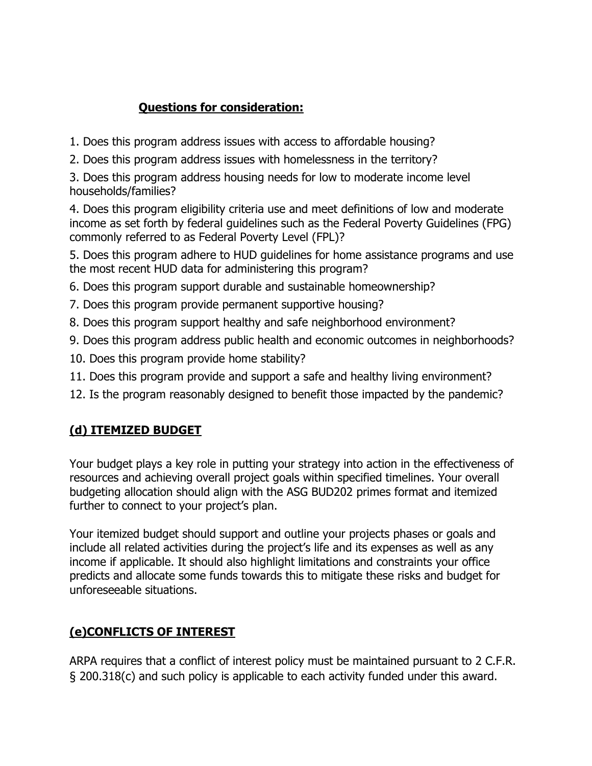# **Questions for consideration:**

- 1. Does this program address issues with access to affordable housing?
- 2. Does this program address issues with homelessness in the territory?

3. Does this program address housing needs for low to moderate income level households/families?

4. Does this program eligibility criteria use and meet definitions of low and moderate income as set forth by federal guidelines such as the Federal Poverty Guidelines (FPG) commonly referred to as Federal Poverty Level (FPL)?

5. Does this program adhere to HUD guidelines for home assistance programs and use the most recent HUD data for administering this program?

- 6. Does this program support durable and sustainable homeownership?
- 7. Does this program provide permanent supportive housing?
- 8. Does this program support healthy and safe neighborhood environment?
- 9. Does this program address public health and economic outcomes in neighborhoods?
- 10. Does this program provide home stability?
- 11. Does this program provide and support a safe and healthy living environment?
- 12. Is the program reasonably designed to benefit those impacted by the pandemic?

# **(d) ITEMIZED BUDGET**

Your budget plays a key role in putting your strategy into action in the effectiveness of resources and achieving overall project goals within specified timelines. Your overall budgeting allocation should align with the ASG BUD202 primes format and itemized further to connect to your project's plan.

Your itemized budget should support and outline your projects phases or goals and include all related activities during the project's life and its expenses as well as any income if applicable. It should also highlight limitations and constraints your office predicts and allocate some funds towards this to mitigate these risks and budget for unforeseeable situations.

# **(e)CONFLICTS OF INTEREST**

ARPA requires that a conflict of interest policy must be maintained pursuant to 2 C.F.R. § 200.318(c) and such policy is applicable to each activity funded under this award.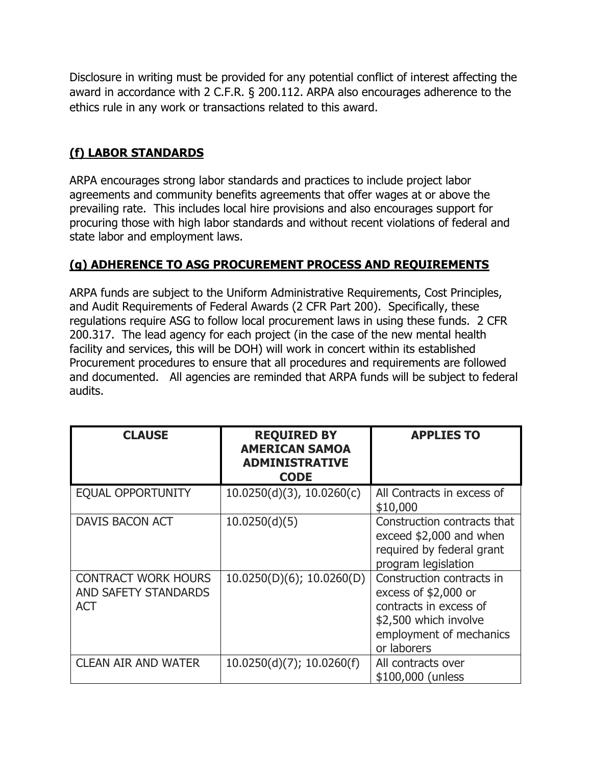Disclosure in writing must be provided for any potential conflict of interest affecting the award in accordance with 2 C.F.R. § 200.112. ARPA also encourages adherence to the ethics rule in any work or transactions related to this award.

#### **(f) LABOR STANDARDS**

ARPA encourages strong labor standards and practices to include project labor agreements and community benefits agreements that offer wages at or above the prevailing rate. This includes local hire provisions and also encourages support for procuring those with high labor standards and without recent violations of federal and state labor and employment laws.

## **(g) ADHERENCE TO ASG PROCUREMENT PROCESS AND REQUIREMENTS**

ARPA funds are subject to the Uniform Administrative Requirements, Cost Principles, and Audit Requirements of Federal Awards (2 CFR Part 200). Specifically, these regulations require ASG to follow local procurement laws in using these funds. 2 CFR 200.317. The lead agency for each project (in the case of the new mental health facility and services, this will be DOH) will work in concert within its established Procurement procedures to ensure that all procedures and requirements are followed and documented. All agencies are reminded that ARPA funds will be subject to federal audits.

| <b>CLAUSE</b>                                                    | <b>REQUIRED BY</b><br><b>AMERICAN SAMOA</b><br><b>ADMINISTRATIVE</b><br><b>CODE</b> | <b>APPLIES TO</b>                                                                                                                              |
|------------------------------------------------------------------|-------------------------------------------------------------------------------------|------------------------------------------------------------------------------------------------------------------------------------------------|
| <b>EQUAL OPPORTUNITY</b>                                         | $10.0250(d)(3)$ , $10.0260(c)$                                                      | All Contracts in excess of<br>\$10,000                                                                                                         |
| <b>DAVIS BACON ACT</b>                                           | 10.0250(d)(5)                                                                       | Construction contracts that<br>exceed \$2,000 and when<br>required by federal grant<br>program legislation                                     |
| <b>CONTRACT WORK HOURS</b><br>AND SAFETY STANDARDS<br><b>ACT</b> | 10.0250(D)(6); 10.0260(D)                                                           | Construction contracts in<br>excess of \$2,000 or<br>contracts in excess of<br>\$2,500 which involve<br>employment of mechanics<br>or laborers |
| <b>CLEAN AIR AND WATER</b>                                       | 10.0250(d)(7); 10.0260(f)                                                           | All contracts over<br>\$100,000 (unless                                                                                                        |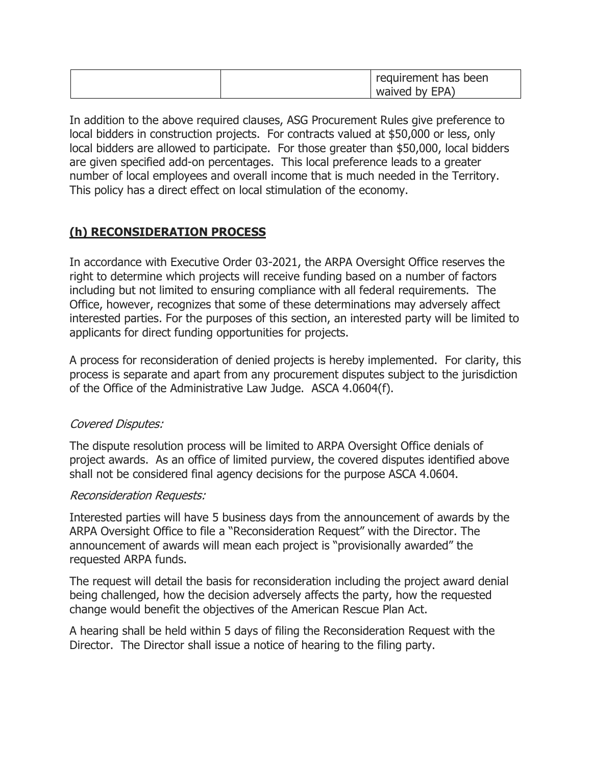|  | requirement has been<br>waived by EPA) |
|--|----------------------------------------|
|--|----------------------------------------|

In addition to the above required clauses, ASG Procurement Rules give preference to local bidders in construction projects. For contracts valued at \$50,000 or less, only local bidders are allowed to participate. For those greater than \$50,000, local bidders are given specified add-on percentages. This local preference leads to a greater number of local employees and overall income that is much needed in the Territory. This policy has a direct effect on local stimulation of the economy.

## **(h) RECONSIDERATION PROCESS**

In accordance with Executive Order 03-2021, the ARPA Oversight Office reserves the right to determine which projects will receive funding based on a number of factors including but not limited to ensuring compliance with all federal requirements. The Office, however, recognizes that some of these determinations may adversely affect interested parties. For the purposes of this section, an interested party will be limited to applicants for direct funding opportunities for projects.

A process for reconsideration of denied projects is hereby implemented. For clarity, this process is separate and apart from any procurement disputes subject to the jurisdiction of the Office of the Administrative Law Judge. ASCA 4.0604(f).

#### Covered Disputes:

The dispute resolution process will be limited to ARPA Oversight Office denials of project awards. As an office of limited purview, the covered disputes identified above shall not be considered final agency decisions for the purpose ASCA 4.0604.

#### Reconsideration Requests:

Interested parties will have 5 business days from the announcement of awards by the ARPA Oversight Office to file a "Reconsideration Request" with the Director. The announcement of awards will mean each project is "provisionally awarded" the requested ARPA funds.

The request will detail the basis for reconsideration including the project award denial being challenged, how the decision adversely affects the party, how the requested change would benefit the objectives of the American Rescue Plan Act.

A hearing shall be held within 5 days of filing the Reconsideration Request with the Director. The Director shall issue a notice of hearing to the filing party.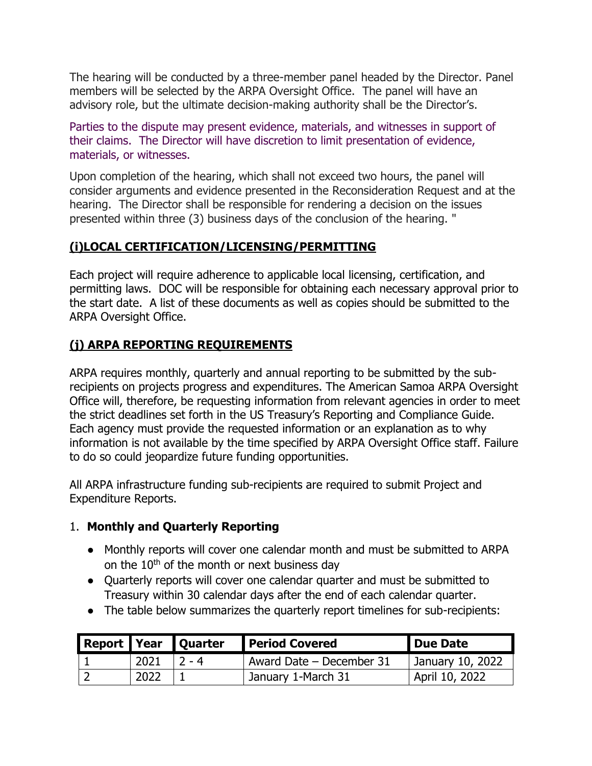The hearing will be conducted by a three-member panel headed by the Director. Panel members will be selected by the ARPA Oversight Office. The panel will have an advisory role, but the ultimate decision-making authority shall be the Director's.

Parties to the dispute may present evidence, materials, and witnesses in support of their claims. The Director will have discretion to limit presentation of evidence, materials, or witnesses.

Upon completion of the hearing, which shall not exceed two hours, the panel will consider arguments and evidence presented in the Reconsideration Request and at the hearing. The Director shall be responsible for rendering a decision on the issues presented within three (3) business days of the conclusion of the hearing. "

## **(i)LOCAL CERTIFICATION/LICENSING/PERMITTING**

Each project will require adherence to applicable local licensing, certification, and permitting laws. DOC will be responsible for obtaining each necessary approval prior to the start date. A list of these documents as well as copies should be submitted to the ARPA Oversight Office.

## **(j) ARPA REPORTING REQUIREMENTS**

ARPA requires monthly, quarterly and annual reporting to be submitted by the subrecipients on projects progress and expenditures. The American Samoa ARPA Oversight Office will, therefore, be requesting information from relevant agencies in order to meet the strict deadlines set forth in the US Treasury's Reporting and Compliance Guide. Each agency must provide the requested information or an explanation as to why information is not available by the time specified by ARPA Oversight Office staff. Failure to do so could jeopardize future funding opportunities.

All ARPA infrastructure funding sub-recipients are required to submit Project and Expenditure Reports.

#### 1. **Monthly and Quarterly Reporting**

- Monthly reports will cover one calendar month and must be submitted to ARPA on the 10<sup>th</sup> of the month or next business day
- Quarterly reports will cover one calendar quarter and must be submitted to Treasury within 30 calendar days after the end of each calendar quarter.
- The table below summarizes the quarterly report timelines for sub-recipients:

|      | Report Year Quarter | <b>Period Covered</b>           | Due Date         |
|------|---------------------|---------------------------------|------------------|
| 2021 | $12 - 4$            | Award Date - December 31        | January 10, 2022 |
| 2022 |                     | <sup>1</sup> January 1-March 31 | April 10, 2022   |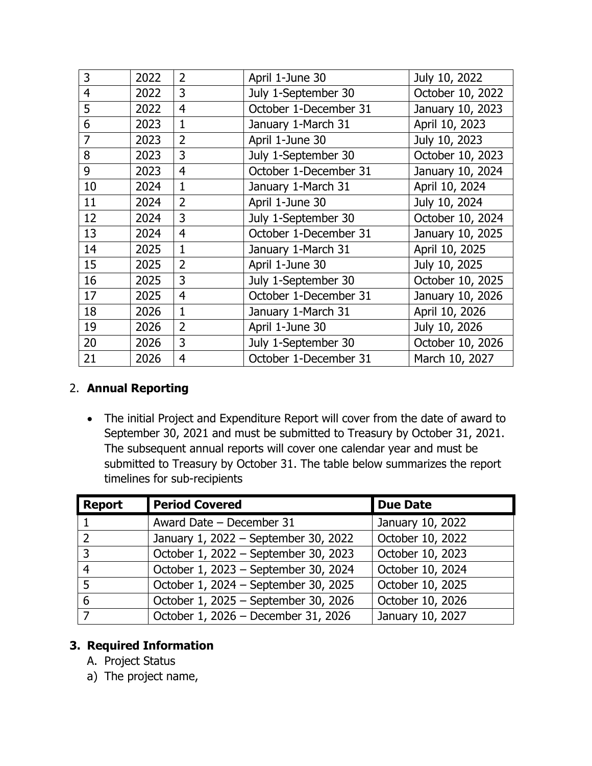| 3  | 2022 | $\overline{2}$ | April 1-June 30       | July 10, 2022    |
|----|------|----------------|-----------------------|------------------|
| 4  | 2022 | $\overline{3}$ | July 1-September 30   | October 10, 2022 |
| 5  | 2022 | $\overline{4}$ | October 1-December 31 | January 10, 2023 |
| 6  | 2023 | $\mathbf{1}$   | January 1-March 31    | April 10, 2023   |
| 7  | 2023 | $\overline{2}$ | April 1-June 30       | July 10, 2023    |
| 8  | 2023 | 3              | July 1-September 30   | October 10, 2023 |
| 9  | 2023 | $\overline{4}$ | October 1-December 31 | January 10, 2024 |
| 10 | 2024 | $\mathbf{1}$   | January 1-March 31    | April 10, 2024   |
| 11 | 2024 | $\overline{2}$ | April 1-June 30       | July 10, 2024    |
| 12 | 2024 | 3              | July 1-September 30   | October 10, 2024 |
| 13 | 2024 | $\overline{4}$ | October 1-December 31 | January 10, 2025 |
| 14 | 2025 | $\mathbf{1}$   | January 1-March 31    | April 10, 2025   |
| 15 | 2025 | $\overline{2}$ | April 1-June 30       | July 10, 2025    |
| 16 | 2025 | $\overline{3}$ | July 1-September 30   | October 10, 2025 |
| 17 | 2025 | $\overline{4}$ | October 1-December 31 | January 10, 2026 |
| 18 | 2026 | $\mathbf{1}$   | January 1-March 31    | April 10, 2026   |
| 19 | 2026 | $\overline{2}$ | April 1-June 30       | July 10, 2026    |
| 20 | 2026 | 3              | July 1-September 30   | October 10, 2026 |
| 21 | 2026 | $\overline{4}$ | October 1-December 31 | March 10, 2027   |

#### 2. **Annual Reporting**

• The initial Project and Expenditure Report will cover from the date of award to September 30, 2021 and must be submitted to Treasury by October 31, 2021. The subsequent annual reports will cover one calendar year and must be submitted to Treasury by October 31. The table below summarizes the report timelines for sub-recipients

| <b>Report</b>  | <b>Period Covered</b>                | <b>Due Date</b>  |
|----------------|--------------------------------------|------------------|
|                | Award Date - December 31             | January 10, 2022 |
| $\overline{2}$ | January 1, 2022 - September 30, 2022 | October 10, 2022 |
| 3              | October 1, 2022 - September 30, 2023 | October 10, 2023 |
| 4              | October 1, 2023 - September 30, 2024 | October 10, 2024 |
| 5              | October 1, 2024 - September 30, 2025 | October 10, 2025 |
| 6              | October 1, 2025 - September 30, 2026 | October 10, 2026 |
|                | October 1, 2026 - December 31, 2026  | January 10, 2027 |

# **3. Required Information**

- A. Project Status
- a) The project name,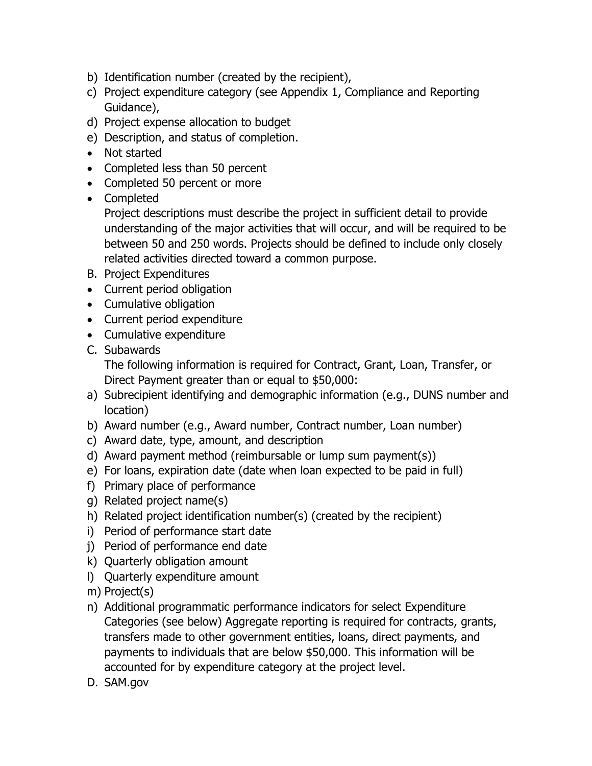- b) Identification number (created by the recipient),
- c) Project expenditure category (see Appendix 1, Compliance and Reporting Guidance),
- d) Project expense allocation to budget
- e) Description, and status of completion.
- Not started
- Completed less than 50 percent
- Completed 50 percent or more
- Completed

Project descriptions must describe the project in sufficient detail to provide understanding of the major activities that will occur, and will be required to be between 50 and 250 words. Projects should be defined to include only closely related activities directed toward a common purpose.

- B. Project Expenditures
- Current period obligation
- Cumulative obligation
- Current period expenditure
- Cumulative expenditure
- C. Subawards

The following information is required for Contract, Grant, Loan, Transfer, or Direct Payment greater than or equal to \$50,000:

- a) Subrecipient identifying and demographic information (e.g., DUNS number and location)
- b) Award number (e.g., Award number, Contract number, Loan number)
- c) Award date, type, amount, and description
- d) Award payment method (reimbursable or lump sum payment(s))
- e) For loans, expiration date (date when loan expected to be paid in full)
- f) Primary place of performance
- g) Related project name(s)
- h) Related project identification number(s) (created by the recipient)
- i) Period of performance start date
- j) Period of performance end date
- k) Quarterly obligation amount
- l) Quarterly expenditure amount
- m) Project(s)
- n) Additional programmatic performance indicators for select Expenditure Categories (see below) Aggregate reporting is required for contracts, grants, transfers made to other government entities, loans, direct payments, and payments to individuals that are below \$50,000. This information will be accounted for by expenditure category at the project level.
- D. SAM.gov